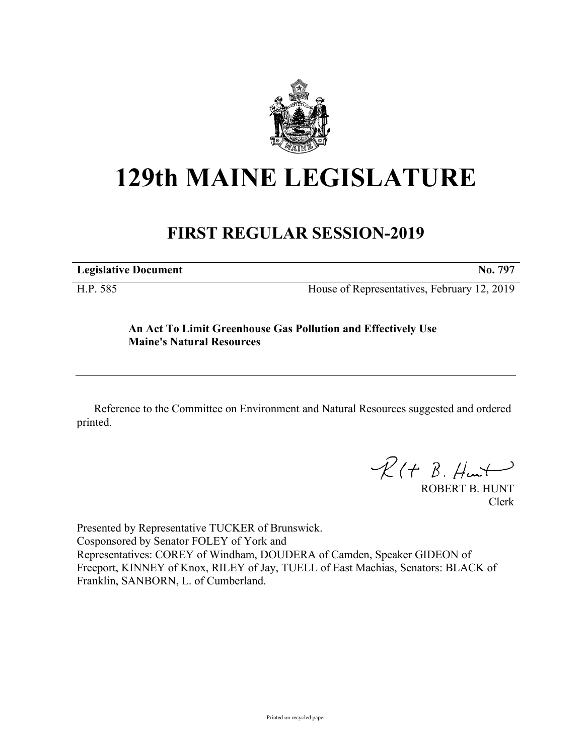

# **129th MAINE LEGISLATURE**

## **FIRST REGULAR SESSION-2019**

| <b>Legislative Document</b> | ______ | $ -$ | $-$ | __ | . |
|-----------------------------|--------|------|-----|----|---|
|                             |        |      |     |    |   |

H.P. 585 House of Representatives, February 12, 2019

### **An Act To Limit Greenhouse Gas Pollution and Effectively Use Maine's Natural Resources**

Reference to the Committee on Environment and Natural Resources suggested and ordered printed.

 $R(H B. H<sub>un</sub>+)$ 

ROBERT B. HUNT Clerk

Presented by Representative TUCKER of Brunswick. Cosponsored by Senator FOLEY of York and Representatives: COREY of Windham, DOUDERA of Camden, Speaker GIDEON of Freeport, KINNEY of Knox, RILEY of Jay, TUELL of East Machias, Senators: BLACK of Franklin, SANBORN, L. of Cumberland.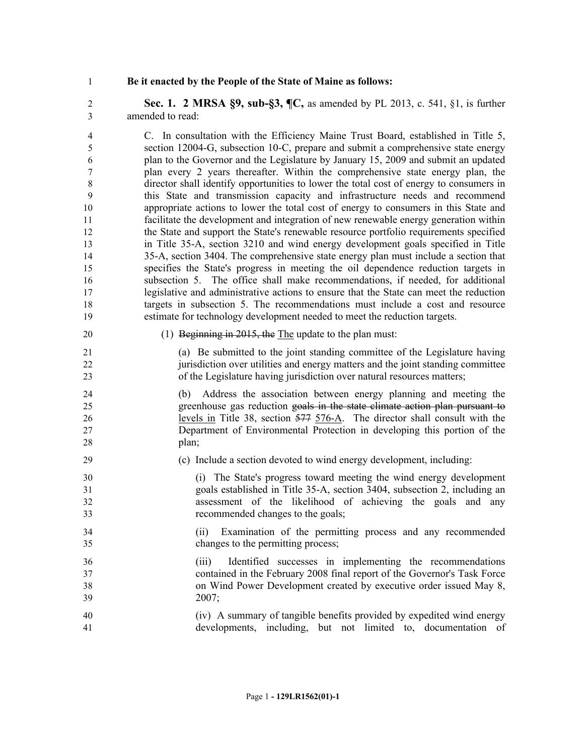#### **Be it enacted by the People of the State of Maine as follows:**

 **Sec. 1. 2 MRSA §9, sub-§3, ¶C,** as amended by PL 2013, c. 541, §1, is further amended to read:

 C. In consultation with the Efficiency Maine Trust Board, established in Title 5, section 12004-G, subsection 10-C, prepare and submit a comprehensive state energy plan to the Governor and the Legislature by January 15, 2009 and submit an updated plan every 2 years thereafter. Within the comprehensive state energy plan, the director shall identify opportunities to lower the total cost of energy to consumers in this State and transmission capacity and infrastructure needs and recommend appropriate actions to lower the total cost of energy to consumers in this State and facilitate the development and integration of new renewable energy generation within the State and support the State's renewable resource portfolio requirements specified in Title 35-A, section 3210 and wind energy development goals specified in Title 35-A, section 3404. The comprehensive state energy plan must include a section that specifies the State's progress in meeting the oil dependence reduction targets in subsection 5. The office shall make recommendations, if needed, for additional legislative and administrative actions to ensure that the State can meet the reduction targets in subsection 5. The recommendations must include a cost and resource estimate for technology development needed to meet the reduction targets.

#### 20 (1) Beginning in 2015, the The update to the plan must:

 (a) Be submitted to the joint standing committee of the Legislature having jurisdiction over utilities and energy matters and the joint standing committee of the Legislature having jurisdiction over natural resources matters;

 (b) Address the association between energy planning and meeting the greenhouse gas reduction goals in the state climate action plan pursuant to levels in Title 38, section 577 576-A. The director shall consult with the Department of Environmental Protection in developing this portion of the 28 plan;

- (c) Include a section devoted to wind energy development, including:
- (i) The State's progress toward meeting the wind energy development goals established in Title 35-A, section 3404, subsection 2, including an assessment of the likelihood of achieving the goals and any recommended changes to the goals;
- (ii) Examination of the permitting process and any recommended changes to the permitting process;
- (iii) Identified successes in implementing the recommendations contained in the February 2008 final report of the Governor's Task Force on Wind Power Development created by executive order issued May 8, 2007;
- (iv) A summary of tangible benefits provided by expedited wind energy developments, including, but not limited to, documentation of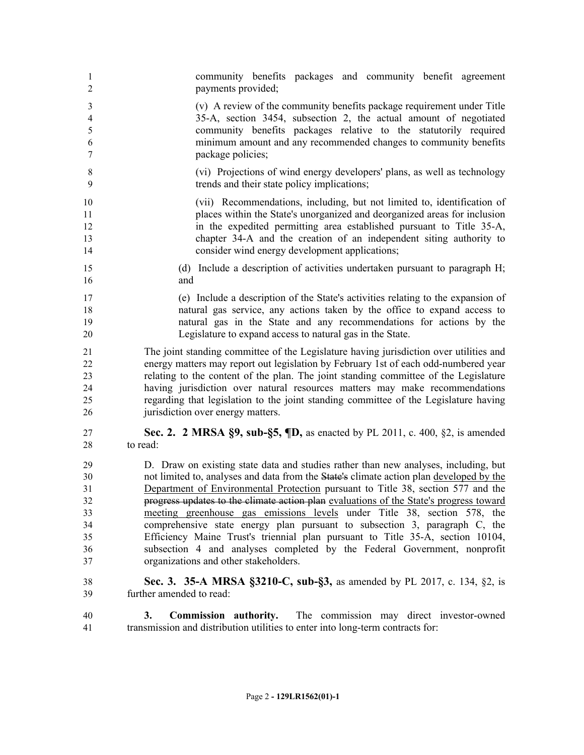community benefits packages and community benefit agreement payments provided; (v) A review of the community benefits package requirement under Title 35-A, section 3454, subsection 2, the actual amount of negotiated community benefits packages relative to the statutorily required minimum amount and any recommended changes to community benefits package policies; (vi) Projections of wind energy developers' plans, as well as technology trends and their state policy implications; (vii) Recommendations, including, but not limited to, identification of places within the State's unorganized and deorganized areas for inclusion in the expedited permitting area established pursuant to Title 35-A, chapter 34-A and the creation of an independent siting authority to consider wind energy development applications; (d) Include a description of activities undertaken pursuant to paragraph H; and (e) Include a description of the State's activities relating to the expansion of natural gas service, any actions taken by the office to expand access to natural gas in the State and any recommendations for actions by the Legislature to expand access to natural gas in the State. The joint standing committee of the Legislature having jurisdiction over utilities and energy matters may report out legislation by February 1st of each odd-numbered year relating to the content of the plan. The joint standing committee of the Legislature having jurisdiction over natural resources matters may make recommendations regarding that legislation to the joint standing committee of the Legislature having 26 jurisdiction over energy matters. **Sec. 2. 2 MRSA §9, sub-§5, ¶D,** as enacted by PL 2011, c. 400, §2, is amended to read: D. Draw on existing state data and studies rather than new analyses, including, but not limited to, analyses and data from the State's climate action plan developed by the Department of Environmental Protection pursuant to Title 38, section 577 and the progress updates to the climate action plan evaluations of the State's progress toward meeting greenhouse gas emissions levels under Title 38, section 578, the comprehensive state energy plan pursuant to subsection 3, paragraph C, the Efficiency Maine Trust's triennial plan pursuant to Title 35-A, section 10104, subsection 4 and analyses completed by the Federal Government, nonprofit organizations and other stakeholders. **Sec. 3. 35-A MRSA §3210-C, sub-§3,** as amended by PL 2017, c. 134, §2, is further amended to read: **3. Commission authority.** The commission may direct investor-owned transmission and distribution utilities to enter into long-term contracts for: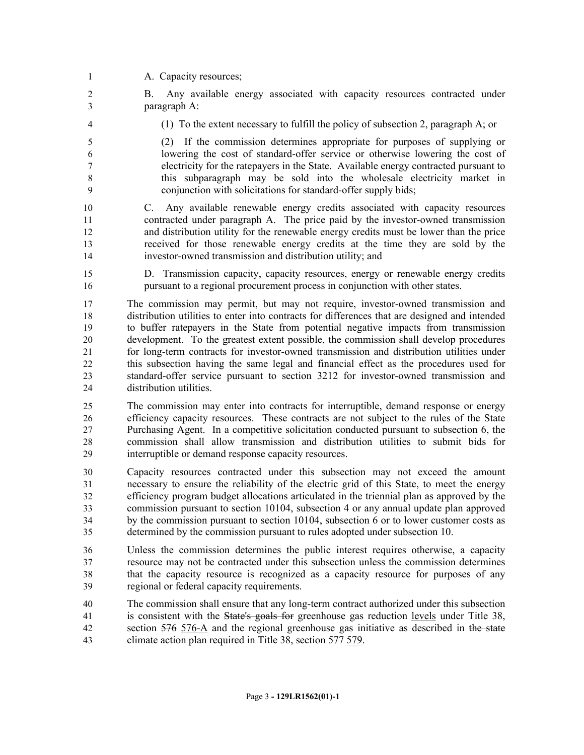1 A. Capacity resources;

 B. Any available energy associated with capacity resources contracted under paragraph A:

(1) To the extent necessary to fulfill the policy of subsection 2, paragraph A; or

 (2) If the commission determines appropriate for purposes of supplying or lowering the cost of standard-offer service or otherwise lowering the cost of electricity for the ratepayers in the State. Available energy contracted pursuant to this subparagraph may be sold into the wholesale electricity market in conjunction with solicitations for standard-offer supply bids;

 C. Any available renewable energy credits associated with capacity resources contracted under paragraph A. The price paid by the investor-owned transmission and distribution utility for the renewable energy credits must be lower than the price received for those renewable energy credits at the time they are sold by the investor-owned transmission and distribution utility; and

 D. Transmission capacity, capacity resources, energy or renewable energy credits pursuant to a regional procurement process in conjunction with other states.

 The commission may permit, but may not require, investor-owned transmission and distribution utilities to enter into contracts for differences that are designed and intended to buffer ratepayers in the State from potential negative impacts from transmission development. To the greatest extent possible, the commission shall develop procedures for long-term contracts for investor-owned transmission and distribution utilities under this subsection having the same legal and financial effect as the procedures used for standard-offer service pursuant to section 3212 for investor-owned transmission and distribution utilities.

 The commission may enter into contracts for interruptible, demand response or energy efficiency capacity resources. These contracts are not subject to the rules of the State Purchasing Agent. In a competitive solicitation conducted pursuant to subsection 6, the commission shall allow transmission and distribution utilities to submit bids for interruptible or demand response capacity resources.

 Capacity resources contracted under this subsection may not exceed the amount necessary to ensure the reliability of the electric grid of this State, to meet the energy efficiency program budget allocations articulated in the triennial plan as approved by the commission pursuant to section 10104, subsection 4 or any annual update plan approved by the commission pursuant to section 10104, subsection 6 or to lower customer costs as determined by the commission pursuant to rules adopted under subsection 10.

 Unless the commission determines the public interest requires otherwise, a capacity resource may not be contracted under this subsection unless the commission determines that the capacity resource is recognized as a capacity resource for purposes of any regional or federal capacity requirements.

 The commission shall ensure that any long-term contract authorized under this subsection is consistent with the State's goals for greenhouse gas reduction levels under Title 38, section 576 576-A and the regional greenhouse gas initiative as described in the state 43 climate action plan required in Title 38, section 577 579.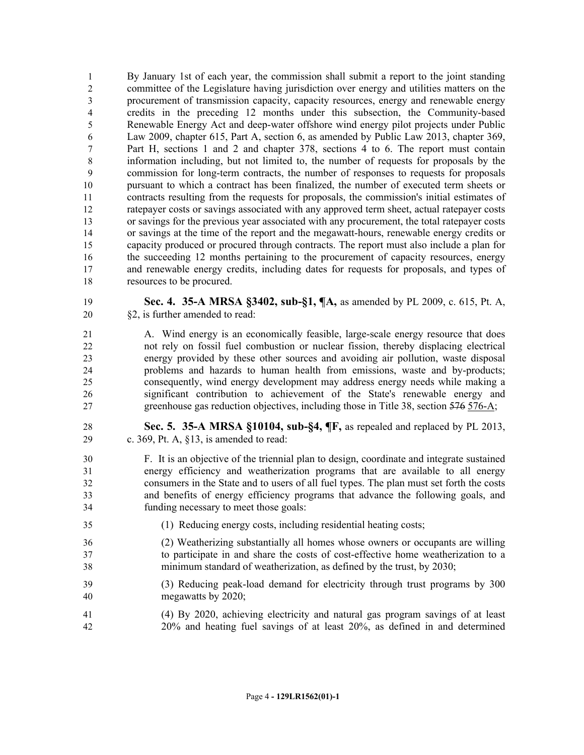By January 1st of each year, the commission shall submit a report to the joint standing committee of the Legislature having jurisdiction over energy and utilities matters on the procurement of transmission capacity, capacity resources, energy and renewable energy credits in the preceding 12 months under this subsection, the Community-based Renewable Energy Act and deep-water offshore wind energy pilot projects under Public Law 2009, chapter 615, Part A, section 6, as amended by Public Law 2013, chapter 369, Part H, sections 1 and 2 and chapter 378, sections 4 to 6. The report must contain information including, but not limited to, the number of requests for proposals by the commission for long-term contracts, the number of responses to requests for proposals pursuant to which a contract has been finalized, the number of executed term sheets or contracts resulting from the requests for proposals, the commission's initial estimates of ratepayer costs or savings associated with any approved term sheet, actual ratepayer costs or savings for the previous year associated with any procurement, the total ratepayer costs or savings at the time of the report and the megawatt-hours, renewable energy credits or capacity produced or procured through contracts. The report must also include a plan for 16 the succeeding 12 months pertaining to the procurement of capacity resources, energy and renewable energy credits, including dates for requests for proposals, and types of resources to be procured.

- **Sec. 4. 35-A MRSA §3402, sub-§1, ¶A,** as amended by PL 2009, c. 615, Pt. A, §2, is further amended to read:
- A. Wind energy is an economically feasible, large-scale energy resource that does not rely on fossil fuel combustion or nuclear fission, thereby displacing electrical energy provided by these other sources and avoiding air pollution, waste disposal problems and hazards to human health from emissions, waste and by-products; consequently, wind energy development may address energy needs while making a significant contribution to achievement of the State's renewable energy and greenhouse gas reduction objectives, including those in Title 38, section 576 576-A;
- **Sec. 5. 35-A MRSA §10104, sub-§4, ¶F,** as repealed and replaced by PL 2013, c. 369, Pt. A, §13, is amended to read:
- F. It is an objective of the triennial plan to design, coordinate and integrate sustained energy efficiency and weatherization programs that are available to all energy consumers in the State and to users of all fuel types. The plan must set forth the costs and benefits of energy efficiency programs that advance the following goals, and funding necessary to meet those goals:
- (1) Reducing energy costs, including residential heating costs;
- (2) Weatherizing substantially all homes whose owners or occupants are willing to participate in and share the costs of cost-effective home weatherization to a minimum standard of weatherization, as defined by the trust, by 2030;
- (3) Reducing peak-load demand for electricity through trust programs by 300 megawatts by 2020;
- (4) By 2020, achieving electricity and natural gas program savings of at least 20% and heating fuel savings of at least 20%, as defined in and determined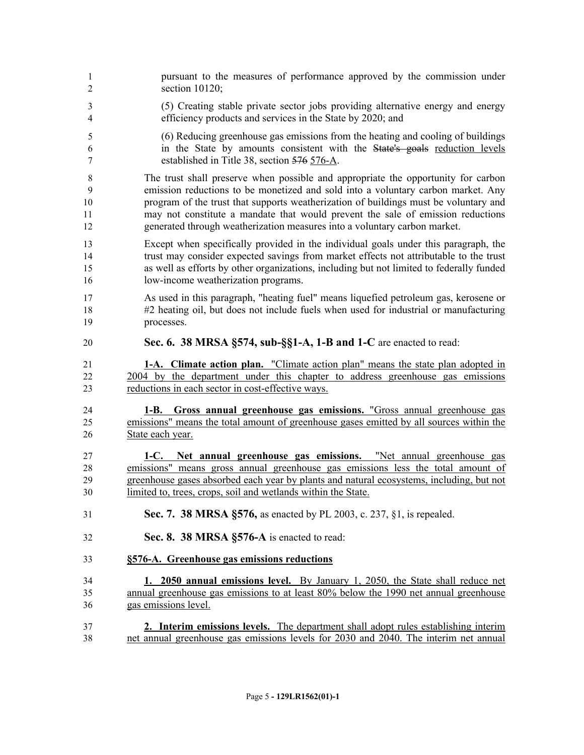| 1              | pursuant to the measures of performance approved by the commission under                 |
|----------------|------------------------------------------------------------------------------------------|
| $\overline{2}$ | section $10120$ ;                                                                        |
| 3              | (5) Creating stable private sector jobs providing alternative energy and energy          |
| $\overline{4}$ | efficiency products and services in the State by 2020; and                               |
| 5              | (6) Reducing greenhouse gas emissions from the heating and cooling of buildings          |
| 6              | in the State by amounts consistent with the State's goals reduction levels               |
| $\tau$         | established in Title 38, section 576 576-A.                                              |
| 8              | The trust shall preserve when possible and appropriate the opportunity for carbon        |
| 9              | emission reductions to be monetized and sold into a voluntary carbon market. Any         |
| 10             | program of the trust that supports weatherization of buildings must be voluntary and     |
| 11             | may not constitute a mandate that would prevent the sale of emission reductions          |
| 12             | generated through weatherization measures into a voluntary carbon market.                |
| 13             | Except when specifically provided in the individual goals under this paragraph, the      |
| 14             | trust may consider expected savings from market effects not attributable to the trust    |
| 15             | as well as efforts by other organizations, including but not limited to federally funded |
| 16             | low-income weatherization programs.                                                      |
| 17             | As used in this paragraph, "heating fuel" means liquefied petroleum gas, kerosene or     |
| 18             | #2 heating oil, but does not include fuels when used for industrial or manufacturing     |
| 19             | processes.                                                                               |
| 20             | Sec. 6. 38 MRSA §574, sub-§§1-A, 1-B and 1-C are enacted to read:                        |
| 21             | 1-A. Climate action plan. "Climate action plan" means the state plan adopted in          |
| 22             | 2004 by the department under this chapter to address greenhouse gas emissions            |
| 23             | reductions in each sector in cost-effective ways.                                        |
| 24             | 1-B. Gross annual greenhouse gas emissions. "Gross annual greenhouse gas                 |
| 25             | emissions" means the total amount of greenhouse gases emitted by all sources within the  |
| 26             | State each year.                                                                         |
| 27             | 1-C. Net annual greenhouse gas emissions. "Net annual greenhouse gas                     |
| 28             | emissions" means gross annual greenhouse gas emissions less the total amount of          |
| 29             | greenhouse gases absorbed each year by plants and natural ecosystems, including, but not |
| 30             | limited to, trees, crops, soil and wetlands within the State.                            |
| 31             | Sec. 7. 38 MRSA §576, as enacted by PL 2003, c. 237, §1, is repealed.                    |
| 32             | Sec. 8. 38 MRSA §576-A is enacted to read:                                               |
| 33             | §576-A. Greenhouse gas emissions reductions                                              |
| 34             | 1. 2050 annual emissions level. By January 1, 2050, the State shall reduce net           |
| 35             | annual greenhouse gas emissions to at least 80% below the 1990 net annual greenhouse     |
| 36             | gas emissions level.                                                                     |
| 37             | 2. Interim emissions levels. The department shall adopt rules establishing interim       |
| 38             | net annual greenhouse gas emissions levels for 2030 and 2040. The interim net annual     |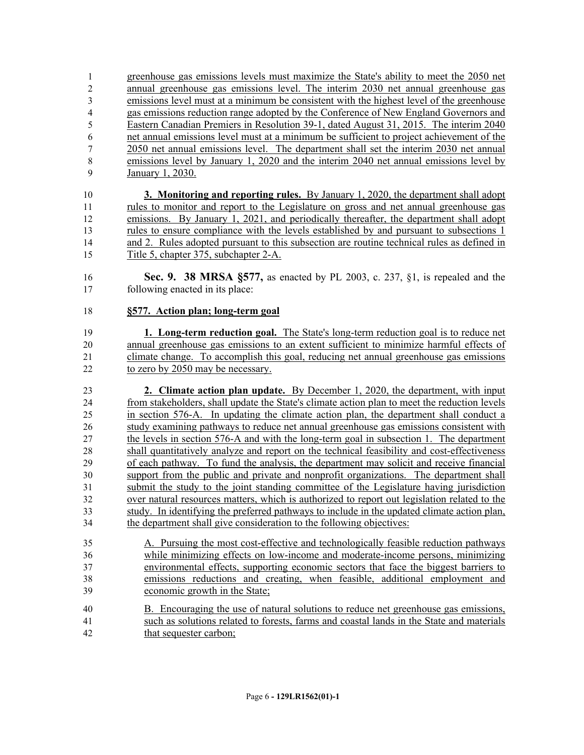greenhouse gas emissions levels must maximize the State's ability to meet the 2050 net annual greenhouse gas emissions level. The interim 2030 net annual greenhouse gas emissions level must at a minimum be consistent with the highest level of the greenhouse gas emissions reduction range adopted by the Conference of New England Governors and Eastern Canadian Premiers in Resolution 39-1, dated August 31, 2015. The interim 2040 net annual emissions level must at a minimum be sufficient to project achievement of the 2050 net annual emissions level. The department shall set the interim 2030 net annual emissions level by January 1, 2020 and the interim 2040 net annual emissions level by January 1, 2030.

 **3. Monitoring and reporting rules.** By January 1, 2020, the department shall adopt rules to monitor and report to the Legislature on gross and net annual greenhouse gas emissions. By January 1, 2021, and periodically thereafter, the department shall adopt rules to ensure compliance with the levels established by and pursuant to subsections 1 and 2. Rules adopted pursuant to this subsection are routine technical rules as defined in Title 5, chapter 375, subchapter 2-A.

 **Sec. 9. 38 MRSA §577,** as enacted by PL 2003, c. 237, §1, is repealed and the following enacted in its place:

#### **§577. Action plan; long-term goal**

 **1. Long-term reduction goal.** The State's long-term reduction goal is to reduce net annual greenhouse gas emissions to an extent sufficient to minimize harmful effects of climate change. To accomplish this goal, reducing net annual greenhouse gas emissions to zero by 2050 may be necessary.

 **2. Climate action plan update.** By December 1, 2020, the department, with input from stakeholders, shall update the State's climate action plan to meet the reduction levels in section 576-A. In updating the climate action plan, the department shall conduct a study examining pathways to reduce net annual greenhouse gas emissions consistent with the levels in section 576-A and with the long-term goal in subsection 1. The department shall quantitatively analyze and report on the technical feasibility and cost-effectiveness of each pathway. To fund the analysis, the department may solicit and receive financial support from the public and private and nonprofit organizations. The department shall submit the study to the joint standing committee of the Legislature having jurisdiction over natural resources matters, which is authorized to report out legislation related to the study. In identifying the preferred pathways to include in the updated climate action plan, the department shall give consideration to the following objectives:

 A. Pursuing the most cost-effective and technologically feasible reduction pathways while minimizing effects on low-income and moderate-income persons, minimizing environmental effects, supporting economic sectors that face the biggest barriers to emissions reductions and creating, when feasible, additional employment and economic growth in the State;

 B. Encouraging the use of natural solutions to reduce net greenhouse gas emissions, such as solutions related to forests, farms and coastal lands in the State and materials that sequester carbon;